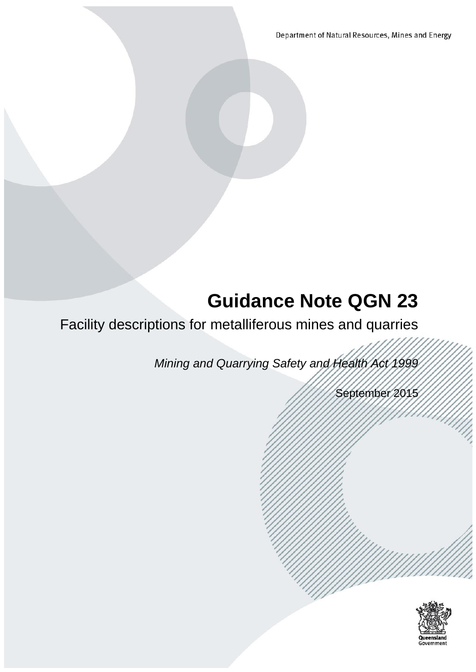Department of Natural Resources, Mines and Energy

# **Guidance Note QGN 23**

Facility descriptions for metalliferous mines and quarries

*Mining and Quarrying Safety and Health Act 1999*

September 2015

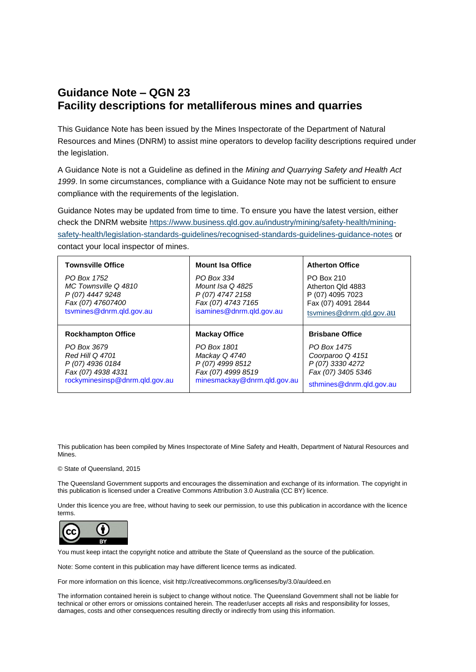#### **Guidance Note – QGN 23 Facility descriptions for metalliferous mines and quarries**

This Guidance Note has been issued by the Mines Inspectorate of the Department of Natural Resources and Mines (DNRM) to assist mine operators to develop facility descriptions required under the legislation.

A Guidance Note is not a Guideline as defined in the *Mining and Quarrying Safety and Health Act 1999*. In some circumstances, compliance with a Guidance Note may not be sufficient to ensure compliance with the requirements of the legislation.

Guidance Notes may be updated from time to time. To ensure you have the latest version, either check the DNRM website [https://www.business.qld.gov.au/industry/mining/safety-health/mining](https://www.business.qld.gov.au/industry/mining/safety-health/mining-safety-health/legislation-standards-guidelines/recognised-standards-guidelines-guidance-notes)[safety-health/legislation-standards-guidelines/recognised-standards-guidelines-guidance-notes](https://www.business.qld.gov.au/industry/mining/safety-health/mining-safety-health/legislation-standards-guidelines/recognised-standards-guidelines-guidance-notes) or contact your local inspector of mines.

| <b>Townsville Office</b>                                                                                 | <b>Mount Isa Office</b>                                                                              | <b>Atherton Office</b>                                                                                |
|----------------------------------------------------------------------------------------------------------|------------------------------------------------------------------------------------------------------|-------------------------------------------------------------------------------------------------------|
| PO Box 1752<br>MC Townsville Q 4810<br>P (07) 4447 9248<br>Fax (07) 47607400<br>tsymines@dnrm.gld.gov.au | PO Box 334<br>Mount Isa Q 4825<br>P (07) 4747 2158<br>Fax (07) 4743 7165<br>isamines@dnrm.gld.gov.au | PO Box 210<br>Atherton Old 4883<br>P (07) 4095 7023<br>Fax (07) 4091 2844<br>tsymines@dnrm.gld.gov.au |
|                                                                                                          |                                                                                                      |                                                                                                       |
| <b>Rockhampton Office</b>                                                                                | <b>Mackay Office</b>                                                                                 | <b>Brisbane Office</b>                                                                                |

This publication has been compiled by Mines Inspectorate of Mine Safety and Health, Department of Natural Resources and Mines.

#### © State of Queensland, 2015

The Queensland Government supports and encourages the dissemination and exchange of its information. The copyright in this publication is licensed under a Creative Commons Attribution 3.0 Australia (CC BY) licence.

Under this licence you are free, without having to seek our permission, to use this publication in accordance with the licence terms.



You must keep intact the copyright notice and attribute the State of Queensland as the source of the publication.

Note: Some content in this publication may have different licence terms as indicated.

For more information on this licence, visit http://creativecommons.org/licenses/by/3.0/au/deed.en

The information contained herein is subject to change without notice. The Queensland Government shall not be liable for technical or other errors or omissions contained herein. The reader/user accepts all risks and responsibility for losses, damages, costs and other consequences resulting directly or indirectly from using this information.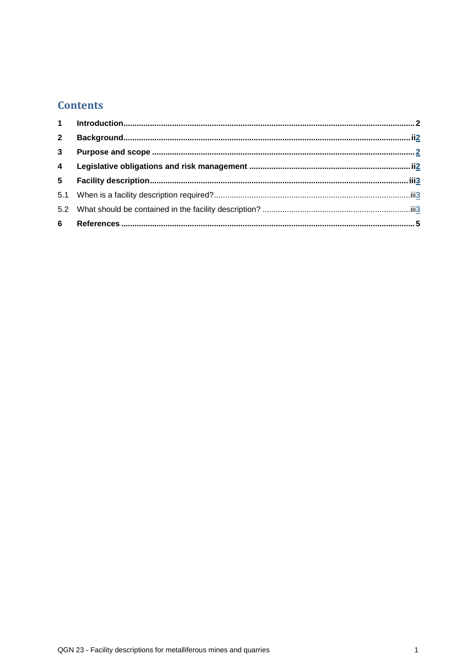#### **Contents**

| $2^{\circ}$             |  |
|-------------------------|--|
| 3 <sup>1</sup>          |  |
| $\overline{\mathbf{4}}$ |  |
| 5 <sup>5</sup>          |  |
|                         |  |
|                         |  |
|                         |  |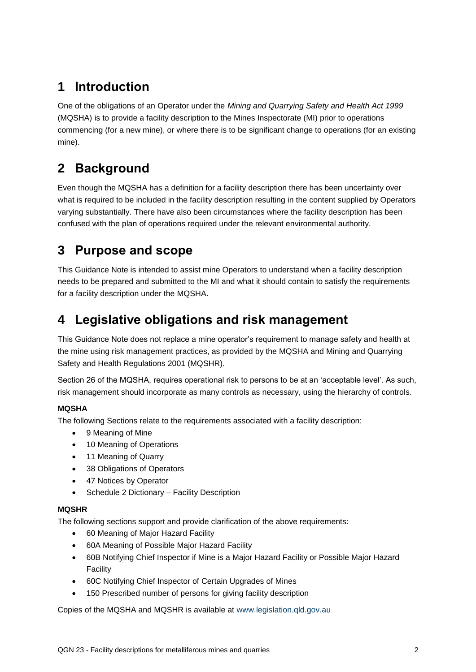# <span id="page-3-0"></span>**1 Introduction**

One of the obligations of an Operator under the *Mining and Quarrying Safety and Health Act 1999* (MQSHA) is to provide a facility description to the Mines Inspectorate (MI) prior to operations commencing (for a new mine), or where there is to be significant change to operations (for an existing mine).

# <span id="page-3-1"></span>**2 Background**

Even though the MQSHA has a definition for a facility description there has been uncertainty over what is required to be included in the facility description resulting in the content supplied by Operators varying substantially. There have also been circumstances where the facility description has been confused with the plan of operations required under the relevant environmental authority.

# <span id="page-3-2"></span>**3 Purpose and scope**

This Guidance Note is intended to assist mine Operators to understand when a facility description needs to be prepared and submitted to the MI and what it should contain to satisfy the requirements for a facility description under the MQSHA.

### <span id="page-3-3"></span>**4 Legislative obligations and risk management**

This Guidance Note does not replace a mine operator's requirement to manage safety and health at the mine using risk management practices, as provided by the MQSHA and Mining and Quarrying Safety and Health Regulations 2001 (MQSHR).

Section 26 of the MQSHA, requires operational risk to persons to be at an 'acceptable level'. As such, risk management should incorporate as many controls as necessary, using the hierarchy of controls.

#### **MQSHA**

The following Sections relate to the requirements associated with a facility description:

- 9 Meaning of Mine
- 10 Meaning of Operations
- 11 Meaning of Quarry
- 38 Obligations of Operators
- 47 Notices by Operator
- Schedule 2 Dictionary Facility Description

#### **MQSHR**

The following sections support and provide clarification of the above requirements:

- 60 Meaning of Major Hazard Facility
- 60A Meaning of Possible Major Hazard Facility
- 60B Notifying Chief Inspector if Mine is a Major Hazard Facility or Possible Major Hazard Facility
- 60C Notifying Chief Inspector of Certain Upgrades of Mines
- 150 Prescribed number of persons for giving facility description

Copies of the MQSHA and MQSHR is available at [www.legislation.qld.gov.au](http://www.legislation.qld.gov.au/)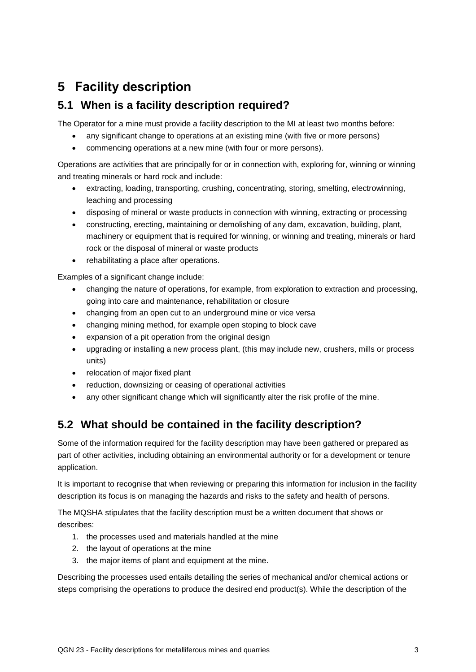# <span id="page-4-0"></span>**5 Facility description**

#### <span id="page-4-1"></span>**5.1 When is a facility description required?**

The Operator for a mine must provide a facility description to the MI at least two months before:

- any significant change to operations at an existing mine (with five or more persons)
- commencing operations at a new mine (with four or more persons).

Operations are activities that are principally for or in connection with, exploring for, winning or winning and treating minerals or hard rock and include:

- extracting, loading, transporting, crushing, concentrating, storing, smelting, electrowinning, leaching and processing
- disposing of mineral or waste products in connection with winning, extracting or processing
- constructing, erecting, maintaining or demolishing of any dam, excavation, building, plant, machinery or equipment that is required for winning, or winning and treating, minerals or hard rock or the disposal of mineral or waste products
- rehabilitating a place after operations.

Examples of a significant change include:

- changing the nature of operations, for example, from exploration to extraction and processing, going into care and maintenance, rehabilitation or closure
- changing from an open cut to an underground mine or vice versa
- changing mining method, for example open stoping to block cave
- expansion of a pit operation from the original design
- upgrading or installing a new process plant, (this may include new, crushers, mills or process units)
- relocation of major fixed plant
- reduction, downsizing or ceasing of operational activities
- any other significant change which will significantly alter the risk profile of the mine.

### <span id="page-4-2"></span>**5.2 What should be contained in the facility description?**

Some of the information required for the facility description may have been gathered or prepared as part of other activities, including obtaining an environmental authority or for a development or tenure application.

It is important to recognise that when reviewing or preparing this information for inclusion in the facility description its focus is on managing the hazards and risks to the safety and health of persons.

The MQSHA stipulates that the facility description must be a written document that shows or describes:

- 1. the processes used and materials handled at the mine
- 2. the layout of operations at the mine
- 3. the major items of plant and equipment at the mine.

Describing the processes used entails detailing the series of mechanical and/or chemical actions or steps comprising the operations to produce the desired end product(s). While the description of the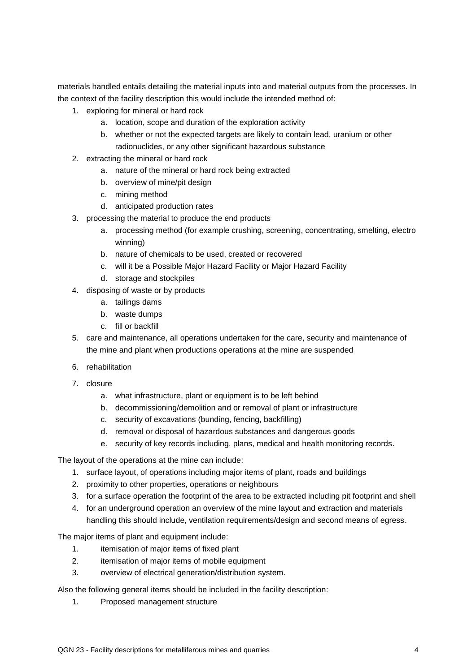materials handled entails detailing the material inputs into and material outputs from the processes. In the context of the facility description this would include the intended method of:

- 1. exploring for mineral or hard rock
	- a. location, scope and duration of the exploration activity
	- b. whether or not the expected targets are likely to contain lead, uranium or other radionuclides, or any other significant hazardous substance
- 2. extracting the mineral or hard rock
	- a. nature of the mineral or hard rock being extracted
	- b. overview of mine/pit design
	- c. mining method
	- d. anticipated production rates
- 3. processing the material to produce the end products
	- a. processing method (for example crushing, screening, concentrating, smelting, electro winning)
	- b. nature of chemicals to be used, created or recovered
	- c. will it be a Possible Major Hazard Facility or Major Hazard Facility
	- d. storage and stockpiles
- 4. disposing of waste or by products
	- a. tailings dams
	- b. waste dumps
	- c. fill or backfill
- 5. care and maintenance, all operations undertaken for the care, security and maintenance of the mine and plant when productions operations at the mine are suspended
- 6. rehabilitation
- 7. closure
	- a. what infrastructure, plant or equipment is to be left behind
	- b. decommissioning/demolition and or removal of plant or infrastructure
	- c. security of excavations (bunding, fencing, backfilling)
	- d. removal or disposal of hazardous substances and dangerous goods
	- e. security of key records including, plans, medical and health monitoring records.

The layout of the operations at the mine can include:

- 1. surface layout, of operations including major items of plant, roads and buildings
- 2. proximity to other properties, operations or neighbours
- 3. for a surface operation the footprint of the area to be extracted including pit footprint and shell
- 4. for an underground operation an overview of the mine layout and extraction and materials handling this should include, ventilation requirements/design and second means of egress.

The major items of plant and equipment include:

- 1. itemisation of major items of fixed plant
- 2. itemisation of major items of mobile equipment
- 3. overview of electrical generation/distribution system.

Also the following general items should be included in the facility description:

1. Proposed management structure